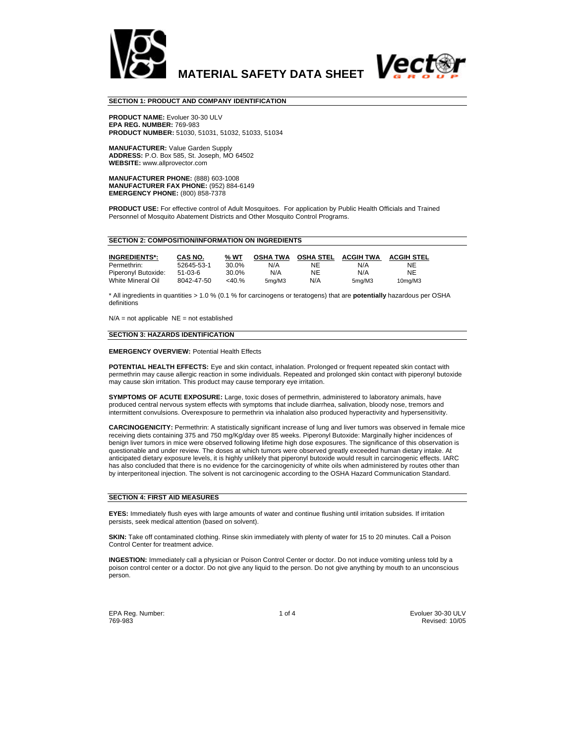

#### **SECTION 1: PRODUCT AND COMPANY IDENTIFICATION**

**PRODUCT NAME:** Evoluer 30-30 ULV **EPA REG. NUMBER:** 769-983 **PRODUCT NUMBER:** 51030, 51031, 51032, 51033, 51034

**MANUFACTURER:** Value Garden Supply **ADDRESS:** P.O. Box 585, St. Joseph, MO 64502 **WEBSITE:** www.allprovector.com

**MANUFACTURER PHONE:** (888) 603-1008 **MANUFACTURER FAX PHONE:** (952) 884-6149 **EMERGENCY PHONE:** (800) 858-7378

**PRODUCT USE:** For effective control of Adult Mosquitoes. For application by Public Health Officials and Trained Personnel of Mosquito Abatement Districts and Other Mosquito Control Programs.

### **SECTION 2: COMPOSITION/INFORMATION ON INGREDIENTS**

| <b>INGREDIENTS*:</b> | CAS NO.    | % WT  | <b>OSHA TWA</b> |     | <b>OSHA STEL ACGIH TWA</b> | <b>ACGIH STEL</b>    |
|----------------------|------------|-------|-----------------|-----|----------------------------|----------------------|
| Permethrin:          | 52645-53-1 | 30.0% | N/A             | NE  | N/A                        | NE                   |
| Piperonyl Butoxide:  | 51-03-6    | 30.0% | N/A             | NE  | N/A                        | NE                   |
| White Mineral Oil    | 8042-47-50 | <40.% | 5ma/M3          | N/A | 5mg/M3                     | 10 <sub>ma</sub> /M3 |

\* All ingredients in quantities > 1.0 % (0.1 % for carcinogens or teratogens) that are **potentially** hazardous per OSHA definitions

 $N/A$  = not applicable  $NE$  = not established

### **SECTION 3: HAZARDS IDENTIFICATION**

### **EMERGENCY OVERVIEW:** Potential Health Effects

**POTENTIAL HEALTH EFFECTS:** Eye and skin contact, inhalation. Prolonged or frequent repeated skin contact with permethrin may cause allergic reaction in some individuals. Repeated and prolonged skin contact with piperonyl butoxide may cause skin irritation. This product may cause temporary eye irritation.

**SYMPTOMS OF ACUTE EXPOSURE:** Large, toxic doses of permethrin, administered to laboratory animals, have produced central nervous system effects with symptoms that include diarrhea, salivation, bloody nose, tremors and intermittent convulsions. Overexposure to permethrin via inhalation also produced hyperactivity and hypersensitivity.

**CARCINOGENICITY:** Permethrin: A statistically significant increase of lung and liver tumors was observed in female mice receiving diets containing 375 and 750 mg/Kg/day over 85 weeks. Piperonyl Butoxide: Marginally higher incidences of benign liver tumors in mice were observed following lifetime high dose exposures. The significance of this observation is questionable and under review. The doses at which tumors were observed greatly exceeded human dietary intake. At anticipated dietary exposure levels, it is highly unlikely that piperonyl butoxide would result in carcinogenic effects. IARC has also concluded that there is no evidence for the carcinogenicity of white oils when administered by routes other than by interperitoneal injection. The solvent is not carcinogenic according to the OSHA Hazard Communication Standard.

### **SECTION 4: FIRST AID MEASURES**

**EYES:** Immediately flush eyes with large amounts of water and continue flushing until irritation subsides. If irritation persists, seek medical attention (based on solvent).

**SKIN:** Take off contaminated clothing. Rinse skin immediately with plenty of water for 15 to 20 minutes. Call a Poison Control Center for treatment advice.

**INGESTION:** Immediately call a physician or Poison Control Center or doctor. Do not induce vomiting unless told by a poison control center or a doctor. Do not give any liquid to the person. Do not give anything by mouth to an unconscious person.

EPA Reg. Number: 1 of 4 Evoluer 30-30 ULV 769-983 Revised: 10/05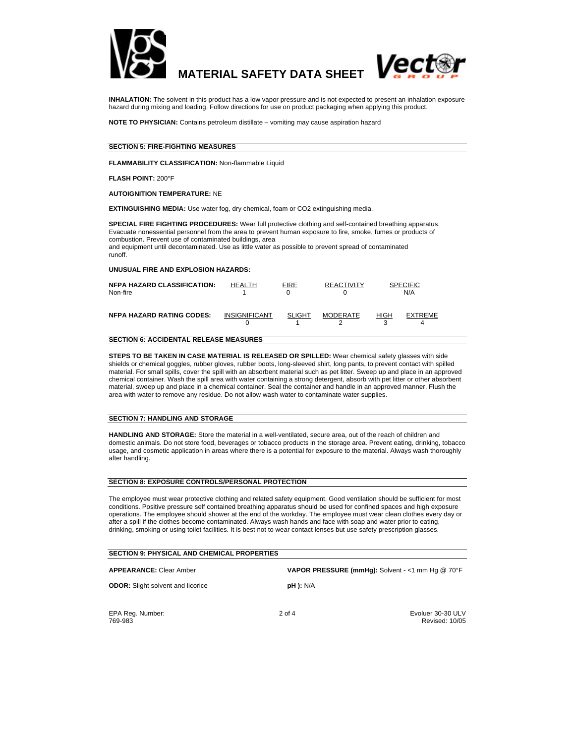



**INHALATION:** The solvent in this product has a low vapor pressure and is not expected to present an inhalation exposure hazard during mixing and loading. Follow directions for use on product packaging when applying this product.

**NOTE TO PHYSICIAN:** Contains petroleum distillate – vomiting may cause aspiration hazard

### **SECTION 5: FIRE-FIGHTING MEASURES**

**FLAMMABILITY CLASSIFICATION:** Non-flammable Liquid

**FLASH POINT:** 200°F

**AUTOIGNITION TEMPERATURE:** NE

**EXTINGUISHING MEDIA:** Use water fog, dry chemical, foam or CO2 extinguishing media.

**SPECIAL FIRE FIGHTING PROCEDURES:** Wear full protective clothing and self-contained breathing apparatus. Evacuate nonessential personnel from the area to prevent human exposure to fire, smoke, fumes or products of combustion. Prevent use of contaminated buildings, area and equipment until decontaminated. Use as little water as possible to prevent spread of contaminated

runoff.

# **UNUSUAL FIRE AND EXPLOSION HAZARDS:**

| <b>NFPA HAZARD CLASSIFICATION:</b><br>Non-fire | <b>HEALTH</b>        | <b>FIRE</b><br>O | <b>REACTIVITY</b> | <b>SPECIFIC</b><br>N/A |  |
|------------------------------------------------|----------------------|------------------|-------------------|------------------------|--|
| <b>NFPA HAZARD RATING CODES:</b>               | <b>INSIGNIFICANT</b> | <b>SLIGHT</b>    | <b>MODERATE</b>   | <b>HIGH</b><br>EXTREME |  |

# **SECTION 6: ACCIDENTAL RELEASE MEASURES**

**STEPS TO BE TAKEN IN CASE MATERIAL IS RELEASED OR SPILLED:** Wear chemical safety glasses with side shields or chemical goggles, rubber gloves, rubber boots, long-sleeved shirt, long pants, to prevent contact with spilled material. For small spills, cover the spill with an absorbent material such as pet litter. Sweep up and place in an approved chemical container. Wash the spill area with water containing a strong detergent, absorb with pet litter or other absorbent material, sweep up and place in a chemical container. Seal the container and handle in an approved manner. Flush the area with water to remove any residue. Do not allow wash water to contaminate water supplies.

## **SECTION 7: HANDLING AND STORAGE**

**HANDLING AND STORAGE:** Store the material in a well-ventilated, secure area, out of the reach of children and domestic animals. Do not store food, beverages or tobacco products in the storage area. Prevent eating, drinking, tobacco usage, and cosmetic application in areas where there is a potential for exposure to the material. Always wash thoroughly after handling.

## **SECTION 8: EXPOSURE CONTROLS/PERSONAL PROTECTION**

The employee must wear protective clothing and related safety equipment. Good ventilation should be sufficient for most conditions. Positive pressure self contained breathing apparatus should be used for confined spaces and high exposure operations. The employee should shower at the end of the workday. The employee must wear clean clothes every day or after a spill if the clothes become contaminated. Always wash hands and face with soap and water prior to eating, drinking, smoking or using toilet facilities. It is best not to wear contact lenses but use safety prescription glasses.

| <b>SECTION 9: PHYSICAL AND CHEMICAL PROPERTIES</b> |                                                  |                                     |  |  |  |
|----------------------------------------------------|--------------------------------------------------|-------------------------------------|--|--|--|
| <b>APPEARANCE: Clear Amber</b>                     | VAPOR PRESSURE (mmHg): Solvent - <1 mm Hg @ 70°F |                                     |  |  |  |
| <b>ODOR:</b> Slight solvent and licorice           | <b>pH ):</b> N/A                                 |                                     |  |  |  |
| EPA Reg. Number:<br>769-983                        | $2$ of $4$                                       | Evoluer 30-30 ULV<br>Revised: 10/05 |  |  |  |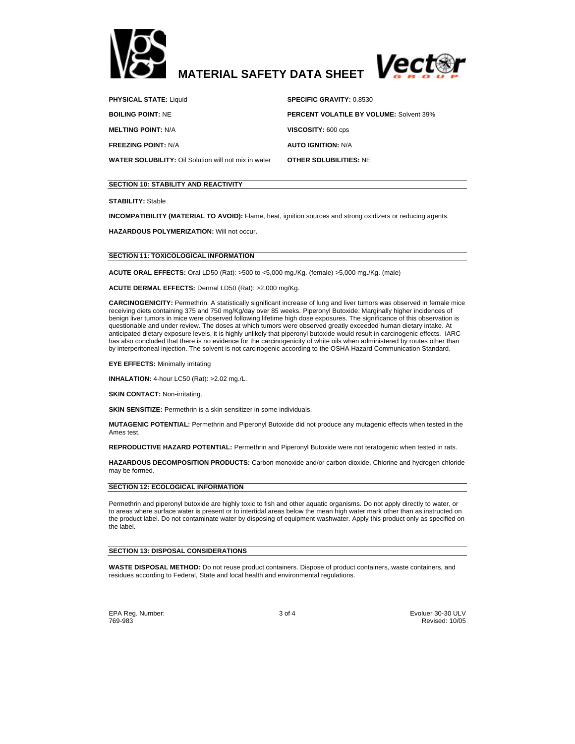



**PHYSICAL STATE:** Liquid **SPECIFIC GRAVITY:** 0.8530

**FREEZING POINT:** N/A **AUTO IGNITION:** N/A

**BOILING POINT:** NE **PERCENT VOLATILE BY VOLUME:** Solvent 39% **MELTING POINT:** N/A **VISCOSITY:** 600 cps **WATER SOLUBILITY:** Oil Solution will not mix in water **OTHER SOLUBILITIES:** NE

# **SECTION 10: STABILITY AND REACTIVITY**

**STABILITY:** Stable

**INCOMPATIBILITY (MATERIAL TO AVOID):** Flame, heat, ignition sources and strong oxidizers or reducing agents.

**HAZARDOUS POLYMERIZATION:** Will not occur.

## **SECTION 11: TOXICOLOGICAL INFORMATION**

**ACUTE ORAL EFFECTS:** Oral LD50 (Rat): >500 to <5,000 mg./Kg. (female) >5,000 mg./Kg. (male)

# **ACUTE DERMAL EFFECTS:** Dermal LD50 (Rat): >2,000 mg/Kg.

**CARCINOGENICITY:** Permethrin: A statistically significant increase of lung and liver tumors was observed in female mice receiving diets containing 375 and 750 mg/Kg/day over 85 weeks. Piperonyl Butoxide: Marginally higher incidences of benign liver tumors in mice were observed following lifetime high dose exposures. The significance of this observation is questionable and under review. The doses at which tumors were observed greatly exceeded human dietary intake. At anticipated dietary exposure levels, it is highly unlikely that piperonyl butoxide would result in carcinogenic effects. IARC has also concluded that there is no evidence for the carcinogenicity of white oils when administered by routes other than by interperitoneal injection. The solvent is not carcinogenic according to the OSHA Hazard Communication Standard.

**EYE EFFECTS:** Minimally irritating

**INHALATION:** 4-hour LC50 (Rat): >2.02 mg./L.

**SKIN CONTACT: Non-irritating.** 

**SKIN SENSITIZE:** Permethrin is a skin sensitizer in some individuals.

**MUTAGENIC POTENTIAL:** Permethrin and Piperonyl Butoxide did not produce any mutagenic effects when tested in the Ames test.

**REPRODUCTIVE HAZARD POTENTIAL:** Permethrin and Piperonyl Butoxide were not teratogenic when tested in rats.

**HAZARDOUS DECOMPOSITION PRODUCTS:** Carbon monoxide and/or carbon dioxide. Chlorine and hydrogen chloride may be formed.

## **SECTION 12: ECOLOGICAL INFORMATION**

Permethrin and piperonyl butoxide are highly toxic to fish and other aquatic organisms. Do not apply directly to water, or to areas where surface water is present or to intertidal areas below the mean high water mark other than as instructed on the product label. Do not contaminate water by disposing of equipment washwater. Apply this product only as specified on the label.

### **SECTION 13: DISPOSAL CONSIDERATIONS**

**WASTE DISPOSAL METHOD:** Do not reuse product containers. Dispose of product containers, waste containers, and residues according to Federal, State and local health and environmental regulations.

EPA Reg. Number: 3 of 4 Evoluer 30-30 ULV 769-983 Revised: 10/05